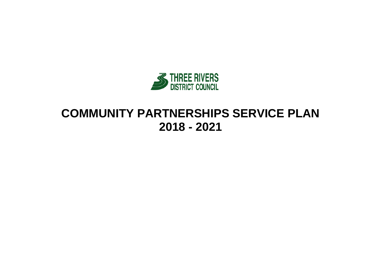

# **COMMUNITY PARTNERSHIPS SERVICE PLAN 2018 - 2021**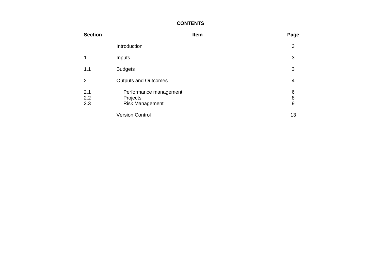### **CONTENTS**

| <b>Section</b>    |                                                              | Item | Page        |
|-------------------|--------------------------------------------------------------|------|-------------|
|                   | Introduction                                                 |      | 3           |
|                   | Inputs                                                       |      | 3           |
| 1.1               | <b>Budgets</b>                                               |      | 3           |
| 2                 | <b>Outputs and Outcomes</b>                                  |      | 4           |
| 2.1<br>2.2<br>2.3 | Performance management<br>Projects<br><b>Risk Management</b> |      | 6<br>8<br>9 |
|                   | <b>Version Control</b>                                       |      | 13          |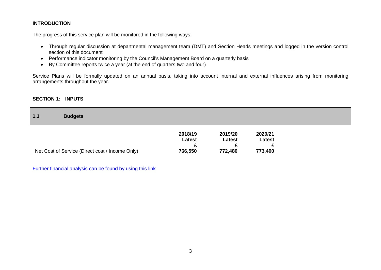#### **INTRODUCTION**

The progress of this service plan will be monitored in the following ways:

- Through regular discussion at departmental management team (DMT) and Section Heads meetings and logged in the version control section of this document
- Performance indicator monitoring by the Council's Management Board on a quarterly basis
- By Committee reports twice a year (at the end of quarters two and four)

Service Plans will be formally updated on an annual basis, taking into account internal and external influences arising from monitoring arrangements throughout the year.

#### **SECTION 1: INPUTS**

| 1.1 | <b>Budgets</b> |
|-----|----------------|
|     |                |

|                                                 | 2018/19 | 2019/20 | 2020/21 |
|-------------------------------------------------|---------|---------|---------|
|                                                 | Latest  | Latest  | Latest  |
|                                                 |         | -       |         |
| Net Cost of Service (Direct cost / Income Only) | 766,550 | 772,480 | 773,400 |

[Further financial analysis can be found by using this link](http://www.threerivers.gov.uk/egcl-page/budgets-2018-21)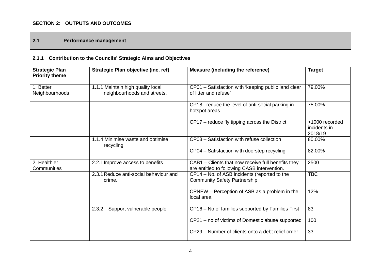## **SECTION 2: OUTPUTS AND OUTCOMES**

## **2.1 Performance management**

## **2.1.1 Contribution to the Councils' Strategic Aims and Objectives**

| <b>Strategic Plan</b><br><b>Priority theme</b> | Strategic Plan objective (inc. ref)                              | <b>Measure (including the reference)</b>                                                           | <b>Target</b>                             |
|------------------------------------------------|------------------------------------------------------------------|----------------------------------------------------------------------------------------------------|-------------------------------------------|
| 1. Better<br>Neighbourhoods                    | 1.1.1 Maintain high quality local<br>neighbourhoods and streets. | CP01 - Satisfaction with 'keeping public land clear<br>of litter and refuse'                       | 79.00%                                    |
|                                                |                                                                  | CP18- reduce the level of anti-social parking in<br>hotspot areas                                  | 75.00%                                    |
|                                                |                                                                  | CP17 – reduce fly tipping across the District                                                      | >1000 recorded<br>incidents in<br>2018/19 |
|                                                | 1.1.4 Minimise waste and optimise<br>recycling                   | CP03 - Satisfaction with refuse collection                                                         | 80.00%                                    |
|                                                |                                                                  | CP04 - Satisfaction with doorstep recycling                                                        | 82.00%                                    |
| 2. Healthier<br>Communities                    | 2.2.1 Improve access to benefits                                 | CAB1 - Clients that now receive full benefits they<br>are entitled to following CASB intervention. | 2500                                      |
|                                                | 2.3.1 Reduce anti-social behaviour and<br>crime.                 | CP14 - No. of ASB incidents (reported to the<br><b>Community Safety Partnership</b>                | <b>TBC</b>                                |
|                                                |                                                                  | CPNEW – Perception of ASB as a problem in the<br>local area                                        | 12%                                       |
|                                                | 2.3.2<br>Support vulnerable people                               | CP16 - No of families supported by Families First                                                  | 83                                        |
|                                                |                                                                  | CP21 – no of victims of Domestic abuse supported                                                   | 100                                       |
|                                                |                                                                  | CP29 – Number of clients onto a debt relief order                                                  | 33                                        |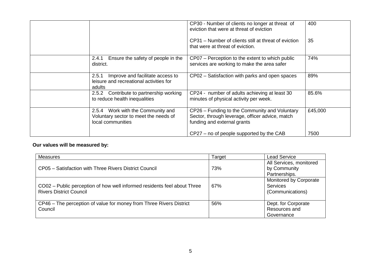|                                                                                                 | CP30 - Number of clients no longer at threat of<br>eviction that were at threat of eviction                                     | 400     |
|-------------------------------------------------------------------------------------------------|---------------------------------------------------------------------------------------------------------------------------------|---------|
|                                                                                                 | CP31 – Number of clients still at threat of eviction<br>that were at threat of eviction.                                        | 35      |
| Ensure the safety of people in the<br>2.4.1<br>district.                                        | CP07 – Perception to the extent to which public<br>services are working to make the area safer                                  | 74%     |
| Improve and facilitate access to<br>2.5.1<br>leisure and recreational activities for<br>adults  | CP02 – Satisfaction with parks and open spaces                                                                                  | 89%     |
| Contribute to partnership working<br>2.5.2<br>to reduce health inequalities                     | CP24 - number of adults achieving at least 30<br>minutes of physical activity per week.                                         | 85.6%   |
| 2.5.4 Work with the Community and<br>Voluntary sector to meet the needs of<br>local communities | CP26 - Funding to the Community and Voluntary<br>Sector, through leverage, officer advice, match<br>funding and external grants | £45,000 |
|                                                                                                 | CP27 – no of people supported by the CAB                                                                                        | 7500    |

## **Our values will be measured by:**

| Measures                                                                 | Target | Lead Service            |
|--------------------------------------------------------------------------|--------|-------------------------|
|                                                                          |        | All Services, monitored |
| CP05 - Satisfaction with Three Rivers District Council                   | 73%    | by Community            |
|                                                                          |        | Partnerships.           |
|                                                                          |        | Monitored by Corporate  |
| CO02 – Public perception of how well informed residents feel about Three | 67%    | <b>Services</b>         |
| <b>Rivers District Council</b>                                           |        | (Communications)        |
|                                                                          |        |                         |
| CP46 - The perception of value for money from Three Rivers District      | 56%    | Dept. for Corporate     |
| Council                                                                  |        | Resources and           |
|                                                                          |        | Governance              |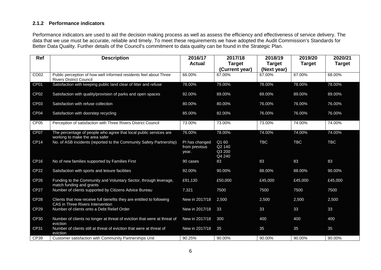#### **2.1.2 Performance indicators**

Performance indicators are used to aid the decision making process as well as assess the efficiency and effectiveness of service delivery. The data that we use must be accurate, reliable and timely. To meet these requirements we have adopted the Audit Commission's Standards for Better Data Quality. Further details of the Council's commitment to data quality can be found in the Strategic Plan.

| Ref              | <b>Description</b>                                                                                        | 2016/17                                  | 2017/18                             | 2018/19                      | 2019/20       | 2020/21       |
|------------------|-----------------------------------------------------------------------------------------------------------|------------------------------------------|-------------------------------------|------------------------------|---------------|---------------|
|                  |                                                                                                           | <b>Actual</b>                            | <b>Target</b><br>(Current year)     | <b>Target</b><br>(Next year) | <b>Target</b> | <b>Target</b> |
| CO <sub>02</sub> | Public perception of how well informed residents feel about Three<br><b>Rivers District Council</b>       | 66.00%                                   | 67.00%                              | 67.00%                       | 67.00%        | 68.00%        |
| CP01             | Satisfaction with keeping public land clear of litter and refuse                                          | 78.00%                                   | 79.00%                              | 78.00%                       | 78.00%        | 78.00%        |
| CP <sub>02</sub> | Satisfaction with quality/provision of parks and open spaces                                              | 92.00%                                   | 89.00%                              | 89.00%                       | 89.00%        | 89.00%        |
| CP <sub>03</sub> | Satisfaction with refuse collection                                                                       | 80.00%                                   | 80.00%                              | 76.00%                       | 76.00%        | 76.00%        |
| CP <sub>04</sub> | Satisfaction with doorstep recycling                                                                      | 85.00%                                   | 82.00%                              | 76.00%                       | 76.00%        | 76.00%        |
| CP <sub>05</sub> | Perception of satisfaction with Three Rivers District Council                                             | 73.00%                                   | 73.00%                              | 73.00%                       | 74.00%        | 74.00%        |
| CP07             | The percentage of people who agree that local public services are<br>working to make the area safer       | 76.00%                                   | 78.00%                              | 74.00%                       | 74.00%        | 74.00%        |
| <b>CP14</b>      | No. of ASB incidents (reported to the Community Safety Partnership)                                       | PI has changed<br>from previous<br>year. | Q1 60<br>Q2 140<br>Q3 200<br>Q4 240 | <b>TBC</b>                   | <b>TBC</b>    | <b>TBC</b>    |
| <b>CP16</b>      | No of new families supported by Families First                                                            | 90 cases                                 | 83                                  | 83                           | 83            | 83            |
| <b>CP22</b>      | Satisfaction with sports and leisure facilities                                                           | 92.00%                                   | 90.00%                              | 88.00%                       | 88.00%        | 90.00%        |
| <b>CP26</b>      | Funding to the Community and Voluntary Sector, through leverage,<br>match funding and grants              | £91,130                                  | £50,000                             | £45,000                      | £45,000       | £45,000       |
| <b>CP27</b>      | Number of clients supported by Citizens Advice Bureau                                                     | 7,321                                    | 7500                                | 7500                         | 7500          | 7500          |
| <b>CP28</b>      | Clients that now receive full benefits they are entitled to following<br>CAS in Three Rivers Intervention | New in 2017/18                           | 2,500                               | 2,500                        | 2,500         | 2,500         |
| CP <sub>29</sub> | Number of clients onto a Debt Relief Order                                                                | New in 2017/18                           | 33                                  | 33                           | 33            | 33            |
| CP30             | Number of clients no longer at threat of eviction that were at threat of<br>eviction                      | New in 2017/18                           | 300                                 | 400                          | 400           | 400           |
| <b>CP31</b>      | Number of clients still at threat of eviction that were at threat of<br>eviction                          | New in 2017/18                           | 35                                  | 35                           | 35            | 35            |
| CP39             | Customer satisfaction with Community Partnerships Unit                                                    | 90.25%                                   | 90.00%                              | 90.00%                       | 90.00%        | 90.00%        |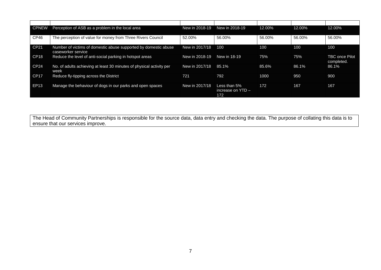| <b>CPNEW</b>     | Perception of ASB as a problem in the local area                                      | New in 2018-19 | New in 2018-19                               | 12.00% | 12.00% | 12.00%                              |
|------------------|---------------------------------------------------------------------------------------|----------------|----------------------------------------------|--------|--------|-------------------------------------|
| CP46             | The perception of value for money from Three Rivers Council                           | 52.00%         | 56.00%                                       | 56.00% | 56.00% | 56.00%                              |
| CP21             | Number of victims of domestic abuse supported by domestic abuse<br>caseworker service | New in 2017/18 | 100                                          | 100    | 100    | 100                                 |
| CP <sub>18</sub> | Reduce the level of anti-social parking in hotspot areas                              | New in 2018-19 | New in 18-19                                 | 75%    | 75%    | <b>TBC once Pilot</b><br>completed. |
| CP <sub>24</sub> | No. of adults achieving at least 30 minutes of physical activity per<br>week          | New in 2017/18 | 85.1%                                        | 85.6%  | 86.1%  | 86.1%                               |
| CP <sub>17</sub> | Reduce fly-tipping across the District                                                | 721            | 792                                          | 1000   | 950    | 900                                 |
| EP13             | Manage the behaviour of dogs in our parks and open spaces                             | New in 2017/18 | Less than $5%$<br>increase on $YID -$<br>172 | 172    | 167    | 167                                 |

The Head of Community Partnerships is responsible for the source data, data entry and checking the data. The purpose of collating this data is to ensure that our services improve.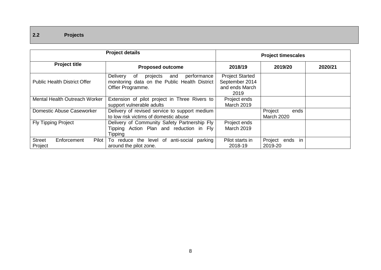## **2.2 Projects**

|                                                  | <b>Project details</b>                                                                                                 | <b>Project timescales</b>                                          |                                      |         |  |
|--------------------------------------------------|------------------------------------------------------------------------------------------------------------------------|--------------------------------------------------------------------|--------------------------------------|---------|--|
| <b>Project title</b>                             | <b>Proposed outcome</b>                                                                                                | 2018/19                                                            | 2019/20                              | 2020/21 |  |
| <b>Public Health District Offer</b>              | Delivery<br>projects<br>and<br>performance<br>of<br>monitoring data on the Public Health District<br>Offier Programme. | <b>Project Started</b><br>September 2014<br>and ends March<br>2019 |                                      |         |  |
| <b>Mental Health Outreach Worker</b>             | Extension of pilot project in Three Rivers to<br>support vulnerable adults                                             | Project ends<br>March 2019                                         |                                      |         |  |
| Domestic Abuse Caseworker                        | Delivery of revised service to support medium<br>to low risk victims of domestic abuse                                 |                                                                    | Project<br>ends<br><b>March 2020</b> |         |  |
| <b>Fly Tipping Project</b>                       | Delivery of Community Safety Partnership Fly<br>Tipping Action Plan and reduction in Fly<br>Tipping                    | Project ends<br><b>March 2019</b>                                  |                                      |         |  |
| <b>Street</b><br>Enforcement<br>Pilot<br>Project | reduce the level of anti-social<br>parking<br>To l<br>around the pilot zone.                                           | Pilot starts in<br>2018-19                                         | Project ends in<br>2019-20           |         |  |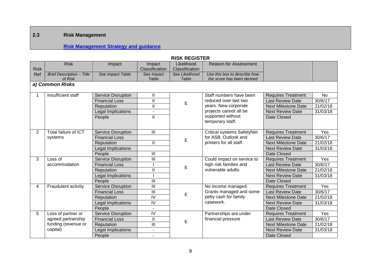## **2.3 Risk Management**

## **[Risk Management Strategy and guidance](http://intranet.threerivers.gov.uk/Default.aspx/Web/StaffMembersListPage)**

|                | NIJN NEVIJI EN                   |                           |                          |                |                                       |                            |           |  |  |
|----------------|----------------------------------|---------------------------|--------------------------|----------------|---------------------------------------|----------------------------|-----------|--|--|
|                | <b>Risk</b>                      | Impact                    | Impact                   | Likelihood     | <b>Reason for Assessment</b>          |                            |           |  |  |
| <b>Risk</b>    |                                  |                           | Classification           | Classification |                                       |                            |           |  |  |
| Ref            | <b>Brief Description - Title</b> | See Impact Table          | See Impact               | See Likelihood | Use this box to describe how          |                            |           |  |  |
|                | of Risk                          |                           | Table                    | Table          | the score has been derived            |                            |           |  |  |
|                | a) Common Risks                  |                           |                          |                |                                       |                            |           |  |  |
|                | Insufficient staff               | <b>Service Disruption</b> | Ш                        |                | Staff numbers have been               | <b>Requires Treatment</b>  | <b>No</b> |  |  |
|                |                                  | <b>Financial Loss</b>     | $\overline{\mathbf{I}}$  | E              | reduced over last two                 | Last Review Date           | 30/6/17   |  |  |
|                |                                  | Reputation                | $\mathbf{I}$             |                | years. New corporate                  | <b>Next Milestone Date</b> | 21/02/18  |  |  |
|                |                                  | Legal Implications        | $\blacksquare$           |                | projects cannot all be                | <b>Next Review Date</b>    | 31/03/18  |  |  |
|                |                                  | People                    | $\mathbf{I}$             |                | supported without<br>temporary staff. | Date Closed                |           |  |  |
| $\overline{2}$ | Total failure of ICT             | <b>Service Disruption</b> | Ш                        |                | <b>Critical systems SafetyNet</b>     | <b>Requires Treatment</b>  | Yes       |  |  |
|                | systems                          | <b>Financial Loss</b>     |                          |                | for ASB. Outlook and                  | <b>Last Review Date</b>    | 30/6/17   |  |  |
|                |                                  | Reputation                | $\mathbf{I}$             | E              | printers for all staff.               | <b>Next Milestone Date</b> | 21/02/18  |  |  |
|                |                                  | Legal Implications        |                          |                |                                       | <b>Next Review Date</b>    | 31/03/18  |  |  |
|                |                                  | People                    | Ш                        |                |                                       | Date Closed                |           |  |  |
| 3              | Loss of                          | <b>Service Disruption</b> | $\overline{\mathbb{H}}$  |                | Could impact on service to            | <b>Requires Treatment</b>  | Yes       |  |  |
|                | accommodation                    | <b>Financial Loss</b>     |                          | Е              | high risk families and                | <b>Last Review Date</b>    | 30/6/17   |  |  |
|                |                                  | Reputation                | $\mathbf{I}$             |                | vulnerable adults.                    | <b>Next Milestone Date</b> | 21/02/18  |  |  |
|                |                                  | Legal Implications        |                          |                |                                       | <b>Next Review Date</b>    | 31/03/18  |  |  |
|                |                                  | People                    | $\overline{\mathbb{H}}$  |                |                                       | Date Closed                |           |  |  |
| 4              | Fraudulent activity              | <b>Service Disruption</b> | Ш                        |                | No income managed.                    | <b>Requires Treatment</b>  | Yes       |  |  |
|                |                                  | <b>Financial Loss</b>     | Ш                        | E              | Grants managed and some               | <b>Last Review Date</b>    | 30/6/17   |  |  |
|                |                                  | Reputation                | $\overline{N}$           |                | petty cash for family                 | <b>Next Milestone Date</b> | 21/02/18  |  |  |
|                |                                  | Legal Implications        | $\overline{N}$           |                | casework.                             | <b>Next Review Date</b>    | 31/03/18  |  |  |
|                |                                  | People                    | $\blacksquare$           |                |                                       | Date Closed                |           |  |  |
| 5              | Loss of partner or               | <b>Service Disruption</b> | $\overline{N}$           |                | Partnerships are under                | <b>Requires Treatment</b>  | Yes       |  |  |
|                | agreed partnership               | <b>Financial Loss</b>     | $\mathbf{I}$             | E              | financial pressure                    | <b>Last Review Date</b>    | 30/6/17   |  |  |
|                | funding (revenue or              | Reputation                | Ш                        |                |                                       | <b>Next Milestone Date</b> | 21/02/18  |  |  |
|                | capital)                         | Legal Implications        | $\overline{\phantom{a}}$ |                |                                       | <b>Next Review Date</b>    | 31/03/18  |  |  |
|                |                                  | People                    |                          |                |                                       | Date Closed                |           |  |  |

#### **RISK REGISTER**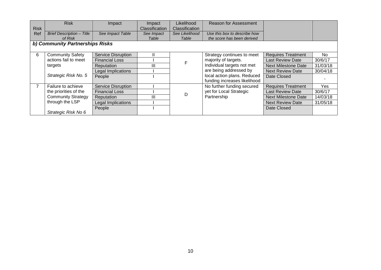|             | <b>Risk</b>                      | Impact                    | Impact         | Likelihood     | <b>Reason for Assessment</b> |                            |           |  |  |  |
|-------------|----------------------------------|---------------------------|----------------|----------------|------------------------------|----------------------------|-----------|--|--|--|
| <b>Risk</b> |                                  |                           | Classification | Classification |                              |                            |           |  |  |  |
| Ref         | <b>Brief Description - Title</b> | See Impact Table          | See Impact     | See Likelihood | Use this box to describe how |                            |           |  |  |  |
|             | of Risk                          |                           | Table          | Table          | the score has been derived   |                            |           |  |  |  |
|             | b) Community Partnerships Risks  |                           |                |                |                              |                            |           |  |  |  |
|             |                                  |                           |                |                |                              |                            |           |  |  |  |
| 6           | <b>Community Safety</b>          | <b>Service Disruption</b> | Ш              |                | Strategy continues to meet   | <b>Requires Treatment</b>  | <b>No</b> |  |  |  |
|             | actions fail to meet             | <b>Financial Loss</b>     |                |                | majority of targets.         | <b>Last Review Date</b>    | 30/6/17   |  |  |  |
|             | targets                          | Reputation                | Ш              |                | Individual targets not met   | <b>Next Milestone Date</b> | 31/03/18  |  |  |  |
|             |                                  | Legal Implications        |                |                | are being addressed by       | <b>Next Review Date</b>    | 30/04/18  |  |  |  |
|             | Strategic Risk No. 5             | People                    |                |                | local action plans. Reduced  | Date Closed                |           |  |  |  |
|             |                                  |                           |                |                | funding increases likelihood |                            |           |  |  |  |
|             | Failure to achieve               | <b>Service Disruption</b> |                |                | No further funding secured   | <b>Requires Treatment</b>  | Yes       |  |  |  |
|             | the priorities of the            | <b>Financial Loss</b>     |                | D              | yet for Local Strategic      | <b>Last Review Date</b>    | 30/6/17   |  |  |  |
|             | <b>Community Strategy</b>        | Reputation                | Ш              |                | Partnership                  | <b>Next Milestone Date</b> | 14/03/18  |  |  |  |
|             | through the LSP                  | Legal Implications        |                |                |                              | <b>Next Review Date</b>    | 31/05/18  |  |  |  |
|             |                                  | People                    |                |                |                              | Date Closed                |           |  |  |  |
|             | Strategic Risk No 6              |                           |                |                |                              |                            |           |  |  |  |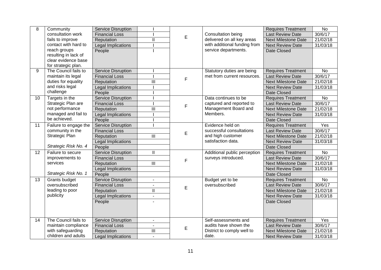| 8  | Community             | <b>Service Disruption</b> |                           |   |                                                                     | <b>Requires Treatment</b>  | <b>No</b> |
|----|-----------------------|---------------------------|---------------------------|---|---------------------------------------------------------------------|----------------------------|-----------|
|    | consultation work     | <b>Financial Loss</b>     |                           |   | <b>Consultation being</b>                                           | Last Review Date           | 30/6/17   |
|    | fails to improve      | Reputation                | $\overline{\mathsf{I}}$   | E | delivered on all key areas                                          | <b>Next Milestone Date</b> | 21/02/18  |
|    | contact with hard to  | Legal Implications        |                           |   | with additional funding from                                        | <b>Next Review Date</b>    | 31/03/18  |
|    | reach groups          | People                    |                           |   | service departments.                                                | <b>Date Closed</b>         |           |
|    | resulting in lack of  |                           |                           |   |                                                                     |                            |           |
|    | clear evidence base   |                           |                           |   |                                                                     |                            |           |
|    | for strategic plan.   |                           |                           |   |                                                                     |                            |           |
| 9  | The Council fails to  | <b>Service Disruption</b> |                           |   | Statutory duties are being                                          | <b>Requires Treatment</b>  | No        |
|    | maintain its legal    | <b>Financial Loss</b>     |                           | F | met from current resources.                                         | <b>Last Review Date</b>    | 30/6/17   |
|    | duties for equality   | Reputation                | $\overline{\mathsf{III}}$ |   |                                                                     | <b>Next Milestone Date</b> | 21/02/18  |
|    | and risks legal       | Legal Implications        |                           |   |                                                                     | <b>Next Review Date</b>    | 31/03/18  |
|    | challenge             | People                    |                           |   |                                                                     | Date Closed                |           |
| 10 | Targets in the        | <b>Service Disruption</b> |                           |   | Data continues to be                                                | <b>Requires Treatment</b>  | No        |
|    | Strategic Plan are    | <b>Financial Loss</b>     |                           | F | captured and reported to                                            | <b>Last Review Date</b>    | 30/6/17   |
|    | not performance       | Reputation                | $\mathbf{III}$            |   | Management Board and<br>Members.                                    | <b>Next Milestone Date</b> | 21/02/18  |
|    | managed and fail to   | Legal Implications        |                           |   |                                                                     | <b>Next Review Date</b>    | 31/03/18  |
|    | be achieved.          | People                    |                           |   |                                                                     | Date Closed                |           |
| 11 | Failure to engage the | <b>Service Disruption</b> |                           |   | Evidence held on                                                    | <b>Requires Treatment</b>  | Yes       |
|    | community in the      | <b>Financial Loss</b>     |                           | E | successful consultations<br>and high customer<br>satisfaction data. | <b>Last Review Date</b>    | 30/6/17   |
|    | Strategic Plan        | Reputation                | $\overline{\mathbb{H}}$   |   |                                                                     | <b>Next Milestone Date</b> | 21/02/18  |
|    |                       | Legal Implications        |                           |   |                                                                     | <b>Next Review Date</b>    | 31/03/18  |
|    | Strategic Risk No. 4  | People                    |                           |   |                                                                     | Date Closed                |           |
| 12 | Failure to secure     | <b>Service Disruption</b> | Ш                         |   | Additional public perception<br>surveys introduced.                 | <b>Requires Treatment</b>  | No        |
|    | improvements to       | <b>Financial Loss</b>     |                           | F |                                                                     | <b>Last Review Date</b>    | 30/6/17   |
|    | services              | Reputation                | $\overline{\mathbb{H}}$   |   |                                                                     | <b>Next Milestone Date</b> | 21/02/18  |
|    |                       | Legal Implications        |                           |   |                                                                     | <b>Next Review Date</b>    | 31/03/18  |
|    | Strategic Risk No. 1  | People                    |                           |   |                                                                     | <b>Date Closed</b>         |           |
| 13 | Grants budget         | <b>Service Disruption</b> |                           |   | Budget yet to be                                                    | <b>Requires Treatment</b>  | No        |
|    | oversubscribed        | <b>Financial Loss</b>     |                           |   | oversubscribed                                                      | <b>Last Review Date</b>    | 30/6/17   |
|    | leading to poor       | Reputation                | $\overline{\mathsf{I}}$   | E |                                                                     | <b>Next Milestone Date</b> | 21/02/18  |
|    | publicity             | Legal Implications        | $\blacksquare$            |   |                                                                     | <b>Next Review Date</b>    | 31/03/18  |
|    |                       | People                    |                           |   |                                                                     | Date Closed                |           |
|    |                       |                           |                           |   |                                                                     |                            |           |
|    |                       |                           |                           |   |                                                                     |                            |           |
| 14 | The Council fails to  | <b>Service Disruption</b> | $\blacksquare$            |   | Self-assessments and                                                | <b>Requires Treatment</b>  | Yes       |
|    | maintain compliance   | <b>Financial Loss</b>     |                           |   | audits have shown the<br>District to comply well to                 | <b>Last Review Date</b>    | 30/6/17   |
|    | with safeguarding     | Reputation                | $\overline{\mathbb{H}}$   | E |                                                                     | <b>Next Milestone Date</b> | 21/02/18  |
|    | children and adults   | Legal Implications        | $\mathbf{r}$              |   | date.                                                               | <b>Next Review Date</b>    | 31/03/18  |
|    |                       |                           |                           |   |                                                                     |                            |           |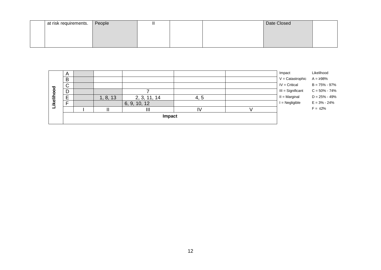| at risk requirements. $\sqrt{ }$ | $\mathsf{I}$ People | ш |  | Date Closed |  |
|----------------------------------|---------------------|---|--|-------------|--|
|                                  |                     |   |  |             |  |
|                                  |                     |   |  |             |  |
|                                  |                     |   |  |             |  |

|          |                | Impact |          |              |     |  |                     |                   |
|----------|----------------|--------|----------|--------------|-----|--|---------------------|-------------------|
|          |                |        |          | Ш            | IV  |  |                     | $F = \leq 2\%$    |
| Likeliho | Е              |        |          | 6, 9, 10, 12 |     |  | $I = Negligible$    | $E = 3\% - 24\%$  |
|          | E              |        | 1, 8, 13 | 2, 3, 11, 14 | 4.5 |  | $II = Marginal$     | $D = 25\% - 49\%$ |
| g<br>o   | D              |        |          |              |     |  | $III =$ Significant | $C = 50\% - 74\%$ |
|          | $\sim$<br>◡    |        |          |              |     |  | $IV = Critical$     | $B = 75\% - 97\%$ |
|          | B              |        |          |              |     |  | $V =$ Catastrophic  | $A = \geq 98\%$   |
|          | $\overline{A}$ |        |          |              |     |  | Impact              | Likelihood        |